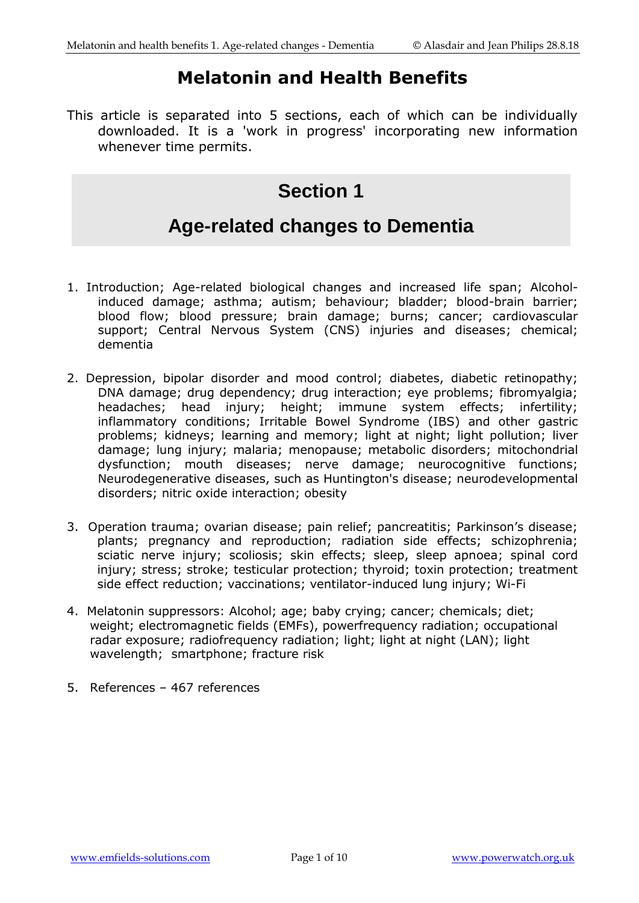# **Melatonin and Health Benefits**

This article is separated into 5 sections, each of which can be individually downloaded. It is a 'work in progress' incorporating new information whenever time permits.

# **Section 1**

# **Age-related changes to Dementia**

- 1. Introduction; Age-related biological changes and increased life span; Alcoholinduced damage; asthma; autism; behaviour; bladder; blood-brain barrier; blood flow; blood pressure; brain damage; burns; cancer; cardiovascular support; Central Nervous System (CNS) injuries and diseases; chemical; dementia
- 2. Depression, bipolar disorder and mood control; diabetes, diabetic retinopathy; DNA damage; drug dependency; drug interaction; eye problems; fibromyalgia; headaches; head injury; height; immune system effects; infertility; inflammatory conditions; Irritable Bowel Syndrome (IBS) and other gastric problems; kidneys; learning and memory; light at night; light pollution; liver damage; lung injury; malaria; menopause; metabolic disorders; mitochondrial dysfunction; mouth diseases; nerve damage; neurocognitive functions; Neurodegenerative diseases, such as Huntington's disease; neurodevelopmental disorders; nitric oxide interaction; obesity
- 3. Operation trauma; ovarian disease; pain relief; pancreatitis; Parkinson's disease; plants; pregnancy and reproduction; radiation side effects; schizophrenia; sciatic nerve injury; scoliosis; skin effects; sleep, sleep apnoea; spinal cord injury; stress; stroke; testicular protection; thyroid; toxin protection; treatment side effect reduction; vaccinations; ventilator-induced lung injury; Wi-Fi
- 4. Melatonin suppressors: Alcohol; age; baby crying; cancer; chemicals; diet; weight; electromagnetic fields (EMFs), powerfrequency radiation; occupational radar exposure; radiofrequency radiation; light; light at night (LAN); light wavelength; smartphone; fracture risk
- 5. References 467 references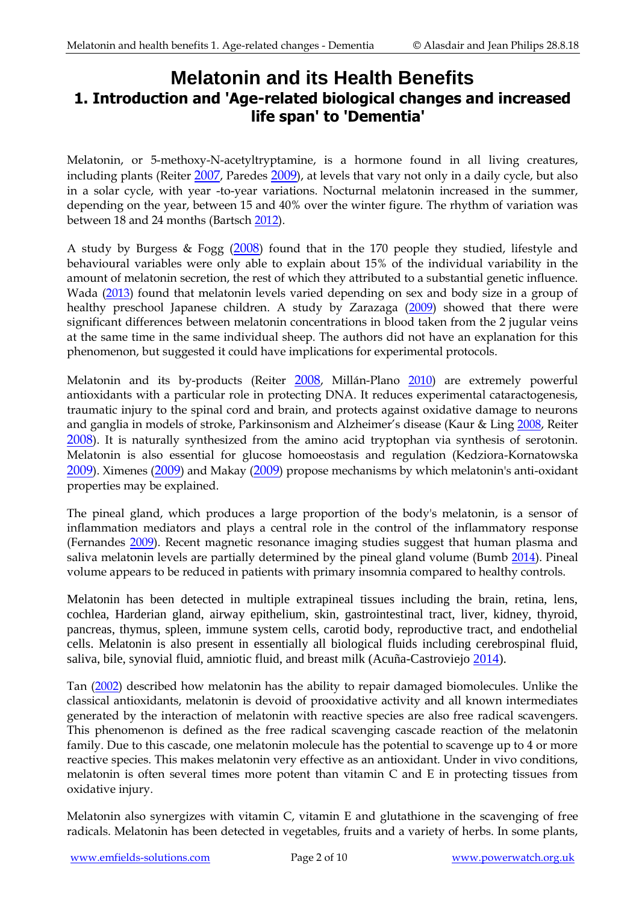# **Melatonin and its Health Benefits 1. Introduction and 'Age-related biological changes and increased life span' to 'Dementia'**

Melatonin, or 5-methoxy-N-acetyltryptamine, is a hormone found in all living creatures, including plants (Reiter [2007](http://www.ncbi.nlm.nih.gov/pubmed/17167296), Paredes [2009](http://www.ncbi.nlm.nih.gov/pubmed/19033551)), at levels that vary not only in a daily cycle, but also in a solar cycle, with year -to-year variations. Nocturnal melatonin increased in the summer, depending on the year, between 15 and 40% over the winter figure. The rhythm of variation was between 18 and 24 months (Bartsch [2012\)](http://www.ncbi.nlm.nih.gov/pubmed/23237595).

A study by Burgess & Fogg ([2008](http://www.ncbi.nlm.nih.gov/pubmed/18725972?ordinalpos=1&itool=EntrezSystem2.PEntrez.Pubmed.Pubmed_ResultsPanel.Pubmed_RVDocSum)) found that in the 170 people they studied, lifestyle and behavioural variables were only able to explain about 15% of the individual variability in the amount of melatonin secretion, the rest of which they attributed to a substantial genetic influence. Wada [\(2013\)](http://www.ncbi.nlm.nih.gov/pubmed/23266102) found that melatonin levels varied depending on sex and body size in a group of healthy preschool Japanese children. A study by Zarazaga [\(2009\)](http://www.ncbi.nlm.nih.gov/pubmed/19699498) showed that there were significant differences between melatonin concentrations in blood taken from the 2 jugular veins at the same time in the same individual sheep. The authors did not have an explanation for this phenomenon, but suggested it could have implications for experimental protocols.

Melatonin and its by-products (Reiter [2008](http://www.ncbi.nlm.nih.gov/pubmed/18766165?ordinalpos=1&itool=EntrezSystem2.PEntrez.Pubmed.Pubmed_ResultsPanel.Pubmed_DefaultReportPanel.Pubmed_RVDocSum), Millán-Plano [2010\)](http://www.ncbi.nlm.nih.gov/pubmed/20162018) are extremely powerful antioxidants with a particular role in protecting DNA. It reduces experimental cataractogenesis, traumatic injury to the spinal cord and brain, and protects against oxidative damage to neurons and ganglia in models of stroke, Parkinsonism and Alzheimer's disease (Kaur & Ling [2008,](http://www.ncbi.nlm.nih.gov/pubmed/19075654) Reiter [2008](http://www.ncbi.nlm.nih.gov/pubmed/18997997?ordinalpos=2&itool=EntrezSystem2.PEntrez.Pubmed.Pubmed_ResultsPanel.Pubmed_DefaultReportPanel.Pubmed_RVDocSum)). It is naturally synthesized from the amino acid tryptophan via synthesis of serotonin. Melatonin is also essential for glucose homoeostasis and regulation (Kedziora-Kornatowska [2009](http://www.ncbi.nlm.nih.gov/pubmed/19317795)). Ximenes ([2009](http://www.ncbi.nlm.nih.gov/pubmed/19344745)) and Makay ([2009](http://www.ncbi.nlm.nih.gov/pubmed/19343192)) propose mechanisms by which melatonin's anti-oxidant properties may be explained.

The pineal gland, which produces a large proportion of the body's melatonin, is a sensor of inflammation mediators and plays a central role in the control of the inflammatory response (Fernandes [2009\)](http://www.ncbi.nlm.nih.gov/pubmed/19076264). Recent magnetic resonance imaging studies suggest that human plasma and saliva melatonin levels are partially determined by the pineal gland volume (Bumb [2014\)](http://www.ncbi.nlm.nih.gov/pubmed/24456088). Pineal volume appears to be reduced in patients with primary insomnia compared to healthy controls.

Melatonin has been detected in multiple extrapineal tissues including the brain, retina, lens, cochlea, Harderian gland, airway epithelium, skin, gastrointestinal tract, liver, kidney, thyroid, pancreas, thymus, spleen, immune system cells, carotid body, reproductive tract, and endothelial cells. Melatonin is also present in essentially all biological fluids including cerebrospinal fluid, saliva, bile, synovial fluid, amniotic fluid, and breast milk (Acuña-Castroviejo [2014\)](https://www.ncbi.nlm.nih.gov/pubmed/24554058).

Tan [\(2002\)](http://www.ncbi.nlm.nih.gov/pubmed/11899100) described how melatonin has the ability to repair damaged biomolecules. Unlike the classical antioxidants, melatonin is devoid of prooxidative activity and all known intermediates generated by the interaction of melatonin with reactive species are also free radical scavengers. This phenomenon is defined as the free radical scavenging cascade reaction of the melatonin family. Due to this cascade, one melatonin molecule has the potential to scavenge up to 4 or more reactive species. This makes melatonin very effective as an antioxidant. Under in vivo conditions, melatonin is often several times more potent than vitamin C and E in protecting tissues from oxidative injury.

Melatonin also synergizes with vitamin C, vitamin E and glutathione in the scavenging of free radicals. Melatonin has been detected in vegetables, fruits and a variety of herbs. In some plants,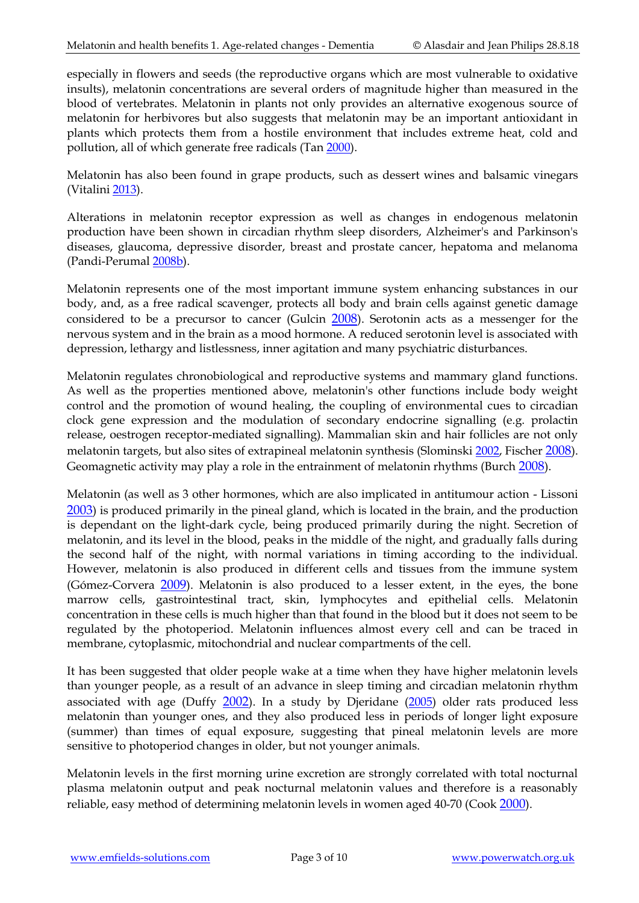especially in flowers and seeds (the reproductive organs which are most vulnerable to oxidative insults), melatonin concentrations are several orders of magnitude higher than measured in the blood of vertebrates. Melatonin in plants not only provides an alternative exogenous source of melatonin for herbivores but also suggests that melatonin may be an important antioxidant in plants which protects them from a hostile environment that includes extreme heat, cold and pollution, all of which generate free radicals (Tan [2000\)](http://www.ncbi.nlm.nih.gov/pubmed/10899700).

Melatonin has also been found in grape products, such as dessert wines and balsamic vinegars (Vitalini [2013\)](http://www.ncbi.nlm.nih.gov/pubmed/23171152).

Alterations in melatonin receptor expression as well as changes in endogenous melatonin production have been shown in circadian rhythm sleep disorders, Alzheimer's and Parkinson's diseases, glaucoma, depressive disorder, breast and prostate cancer, hepatoma and melanoma (Pandi-Perumal [2008b\)](http://www.ncbi.nlm.nih.gov/pubmed/18571301).

Melatonin represents one of the most important immune system enhancing substances in our body, and, as a free radical scavenger, protects all body and brain cells against genetic damage considered to be a precursor to cancer (Gulcin [2008](http://www.ncbi.nlm.nih.gov/pubmed/18608760?ordinalpos=1&itool=EntrezSystem2.PEntrez.Pubmed.Pubmed_ResultsPanel.Pubmed_RVDocSum)). Serotonin acts as a messenger for the nervous system and in the brain as a mood hormone. A reduced serotonin level is associated with depression, lethargy and listlessness, inner agitation and many psychiatric disturbances.

Melatonin regulates chronobiological and reproductive systems and mammary gland functions. As well as the properties mentioned above, melatonin's other functions include body weight control and the promotion of wound healing, the coupling of environmental cues to circadian clock gene expression and the modulation of secondary endocrine signalling (e.g. prolactin release, oestrogen receptor-mediated signalling). Mammalian skin and hair follicles are not only melatonin targets, but also sites of extrapineal melatonin synthesis (Slominski [2002,](http://www.ncbi.nlm.nih.gov/pubmed?term=12039872) Fischer [2008](http://www.ncbi.nlm.nih.gov/pubmed/18643846?ordinalpos=1&itool=EntrezSystem2.PEntrez.Pubmed.Pubmed_ResultsPanel.Pubmed_RVDocSum)). Geomagnetic activity may play a role in the entrainment of melatonin rhythms (Burch [2008](http://www.ncbi.nlm.nih.gov/pubmed/18472329)).

Melatonin (as well as 3 other hormones, which are also implicated in antitumour action - Lissoni [2003](http://www.ncbi.nlm.nih.gov/sites/entrez?Db=pubmed&Cmd=ShowDetailView&TermToSearch=14523367&ordinalpos=21&itool=EntrezSystem2.PEntrez.Pubmed.Pubmed_ResultsPanel.Pubmed_RVDocSum)) is produced primarily in the pineal gland, which is located in the brain, and the production is dependant on the light-dark cycle, being produced primarily during the night. Secretion of melatonin, and its level in the blood, peaks in the middle of the night, and gradually falls during the second half of the night, with normal variations in timing according to the individual. However, melatonin is also produced in different cells and tissues from the immune system (Gómez-Corvera [2009](http://www.ncbi.nlm.nih.gov/pubmed/19522737)). Melatonin is also produced to a lesser extent, in the eyes, the bone marrow cells, gastrointestinal tract, skin, lymphocytes and epithelial cells. Melatonin concentration in these cells is much higher than that found in the blood but it does not seem to be regulated by the photoperiod. Melatonin influences almost every cell and can be traced in membrane, cytoplasmic, mitochondrial and nuclear compartments of the cell.

It has been suggested that older people wake at a time when they have higher melatonin levels than younger people, as a result of an advance in sleep timing and circadian melatonin rhythm associated with age (Duffy [2002](http://www.ncbi.nlm.nih.gov/pubmed/11788360)). In a study by Djeridane [\(2005\)](http://www.ncbi.nlm.nih.gov/pubmed/15919592) older rats produced less melatonin than younger ones, and they also produced less in periods of longer light exposure (summer) than times of equal exposure, suggesting that pineal melatonin levels are more sensitive to photoperiod changes in older, but not younger animals.

Melatonin levels in the first morning urine excretion are strongly correlated with total nocturnal plasma melatonin output and peak nocturnal melatonin values and therefore is a reasonably reliable, easy method of determining melatonin levels in women aged 40-70 (Cook [2000](http://www.ncbi.nlm.nih.gov/pubmed/10626600)).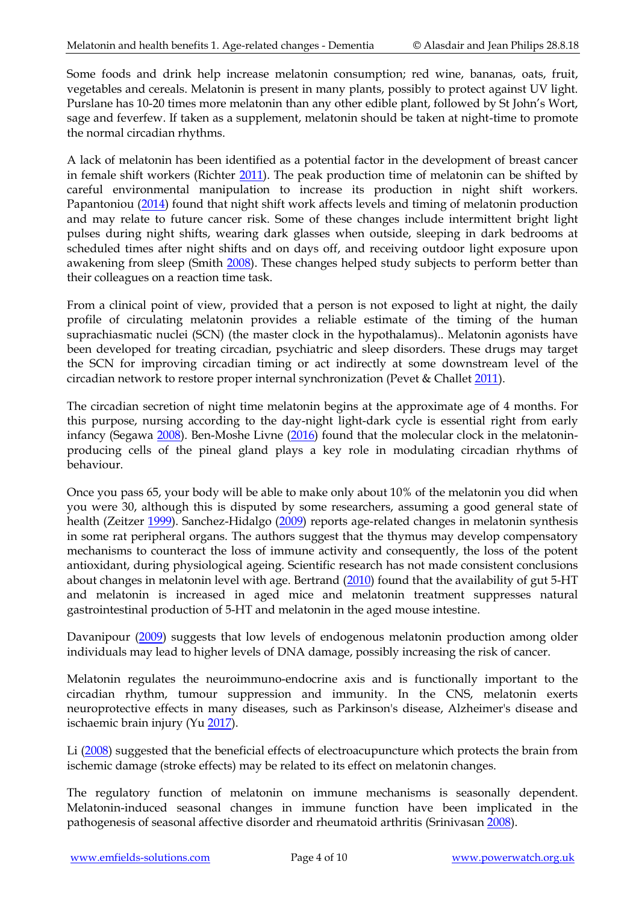Some foods and drink help increase melatonin consumption; red wine, bananas, oats, fruit, vegetables and cereals. Melatonin is present in many plants, possibly to protect against UV light. Purslane has 10-20 times more melatonin than any other edible plant, followed by St John's Wort, sage and feverfew. If taken as a supplement, melatonin should be taken at night-time to promote the normal circadian rhythms.

A lack of melatonin has been identified as a potential factor in the development of breast cancer in female shift workers (Richter [2011\)](http://www.ncbi.nlm.nih.gov/pubmed/23199173). The peak production time of melatonin can be shifted by careful environmental manipulation to increase its production in night shift workers. Papantoniou [\(2014\)](http://www.ncbi.nlm.nih.gov/pubmed/24812038) found that night shift work affects levels and timing of melatonin production and may relate to future cancer risk. Some of these changes include intermittent bright light pulses during night shifts, wearing dark glasses when outside, sleeping in dark bedrooms at scheduled times after night shifts and on days off, and receiving outdoor light exposure upon awakening from sleep (Smith [2008\)](http://www.ncbi.nlm.nih.gov/pubmed/18675836?ordinalpos=3&itool=EntrezSystem2.PEntrez.Pubmed.Pubmed_ResultsPanel.Pubmed_DefaultReportPanel.Pubmed_RVDocSum). These changes helped study subjects to perform better than their colleagues on a reaction time task.

From a clinical point of view, provided that a person is not exposed to light at night, the daily profile of circulating melatonin provides a reliable estimate of the timing of the human suprachiasmatic nuclei (SCN) (the master clock in the hypothalamus).. Melatonin agonists have been developed for treating circadian, psychiatric and sleep disorders. These drugs may target the SCN for improving circadian timing or act indirectly at some downstream level of the circadian network to restore proper internal synchronization (Pevet & Challet [2011\)](http://www.ncbi.nlm.nih.gov/pubmed/21914478).

The circadian secretion of night time melatonin begins at the approximate age of 4 months. For this purpose, nursing according to the day-night light-dark cycle is essential right from early infancy (Segawa [2008\)](http://www.ncbi.nlm.nih.gov/pubmed/18807935). Ben-Moshe Livne [\(2016\)](https://www.ncbi.nlm.nih.gov/pubmed/27870848) found that the molecular clock in the melatoninproducing cells of the pineal gland plays a key role in modulating circadian rhythms of behaviour.

Once you pass 65, your body will be able to make only about 10% of the melatonin you did when you were 30, although this is disputed by some researchers, assuming a good general state of health (Zeitzer [1999\)](http://www.ncbi.nlm.nih.gov/pubmed/10569297). Sanchez-Hidalgo [\(2009\)](http://www.ncbi.nlm.nih.gov/pubmed/19233254) reports age-related changes in melatonin synthesis in some rat peripheral organs. The authors suggest that the thymus may develop compensatory mechanisms to counteract the loss of immune activity and consequently, the loss of the potent antioxidant, during physiological ageing. Scientific research has not made consistent conclusions about changes in melatonin level with age. Bertrand [\(2010\)](http://www.ncbi.nlm.nih.gov/pubmed/20374441) found that the availability of gut 5-HT and melatonin is increased in aged mice and melatonin treatment suppresses natural gastrointestinal production of 5-HT and melatonin in the aged mouse intestine.

Davanipour [\(2009\)](http://www.ncbi.nlm.nih.gov/pubmed/19835624) suggests that low levels of endogenous melatonin production among older individuals may lead to higher levels of DNA damage, possibly increasing the risk of cancer.

Melatonin regulates the neuroimmuno-endocrine axis and is functionally important to the circadian rhythm, tumour suppression and immunity. In the CNS, melatonin exerts neuroprotective effects in many diseases, such as Parkinson's disease, Alzheimer's disease and ischaemic brain injury (Yu [2017\)](https://www.ncbi.nlm.nih.gov/pubmed/27943459).

Li [\(2008\)](http://www.ncbi.nlm.nih.gov/pubmed/18807717) suggested that the beneficial effects of electroacupuncture which protects the brain from ischemic damage (stroke effects) may be related to its effect on melatonin changes.

The regulatory function of melatonin on immune mechanisms is seasonally dependent. Melatonin-induced seasonal changes in immune function have been implicated in the pathogenesis of seasonal affective disorder and rheumatoid arthritis (Srinivasan [2008\)](http://www.ncbi.nlm.nih.gov/pubmed/18679047).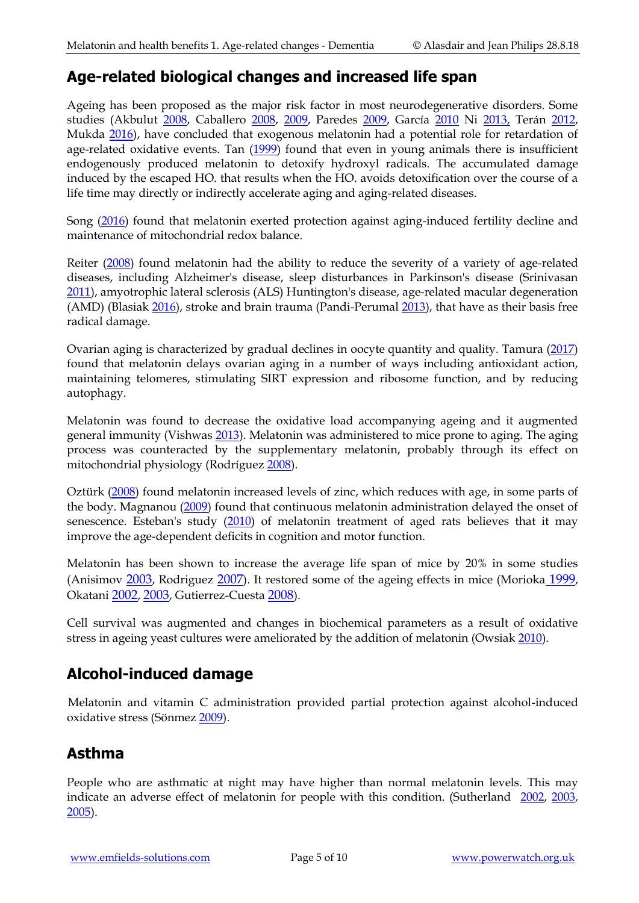#### **Age-related biological changes and increased life span**

Ageing has been proposed as the major risk factor in most neurodegenerative disorders. Some studies (Akbulut [2008,](http://www.ncbi.nlm.nih.gov/pubmed/18755164?ordinalpos=1&itool=EntrezSystem2.PEntrez.Pubmed.Pubmed_ResultsPanel.Pubmed_RVDocSum) Caballero [2008,](http://www.ncbi.nlm.nih.gov/pubmed/18410310) [2009,](http://www.ncbi.nlm.nih.gov/pubmed/19090913) Paredes [2009,](http://www.ncbi.nlm.nih.gov/pubmed/19211547) García [2010](http://www.ncbi.nlm.nih.gov/pubmed/20096480) Ni [2013,](http://www.ncbi.nlm.nih.gov/pubmed/23256744) Terán [2012,](http://www.ncbi.nlm.nih.gov/pubmed/23248969) Mukda [2016\)](https://www.ncbi.nlm.nih.gov/pubmed/27068758), have concluded that exogenous melatonin had a potential role for retardation of age-related oxidative events. Tan [\(1999\)](http://www.ncbi.nlm.nih.gov/pubmed/10085465) found that even in young animals there is insufficient endogenously produced melatonin to detoxify hydroxyl radicals. The accumulated damage induced by the escaped HO. that results when the HO. avoids detoxification over the course of a life time may directly or indirectly accelerate aging and aging-related diseases.

Song [\(2016\)](https://www.ncbi.nlm.nih.gov/pubmed/27731402) found that melatonin exerted protection against aging-induced fertility decline and maintenance of mitochondrial redox balance.

Reiter [\(2008\)](http://www.ncbi.nlm.nih.gov/pubmed/18930877) found melatonin had the ability to reduce the severity of a variety of age-related diseases, including Alzheimer's disease, sleep disturbances in Parkinson's disease (Srinivasan [2011\)](http://www.ncbi.nlm.nih.gov/pubmed/22010042), amyotrophic lateral sclerosis (ALS) Huntington's disease, age-related macular degeneration (AMD) (Blasiak [2016\)](https://www.ncbi.nlm.nih.gov/pubmed/27688828), stroke and brain trauma (Pandi-Perumal [2013\)](http://www.ncbi.nlm.nih.gov/pubmed/22739839), that have as their basis free radical damage.

Ovarian aging is characterized by gradual declines in oocyte quantity and quality. Tamura [\(2017\)](https://www.ncbi.nlm.nih.gov/pubmed/27889913) found that melatonin delays ovarian aging in a number of ways including antioxidant action, maintaining telomeres, stimulating SIRT expression and ribosome function, and by reducing autophagy.

Melatonin was found to decrease the oxidative load accompanying ageing and it augmented general immunity (Vishwas [2013\)](http://www.ncbi.nlm.nih.gov/pubmed/23220117). Melatonin was administered to mice prone to aging. The aging process was counteracted by the supplementary melatonin, probably through its effect on mitochondrial physiology (Rodríguez [2008\)](http://www.ncbi.nlm.nih.gov/pubmed/18485648).

Oztürk [\(2008\)](http://www.ncbi.nlm.nih.gov/pubmed/18726755?ordinalpos=2&itool=EntrezSystem2.PEntrez.Pubmed.Pubmed_ResultsPanel.Pubmed_RVDocSum) found melatonin increased levels of zinc, which reduces with age, in some parts of the body. Magnanou [\(2009\)](http://www.ncbi.nlm.nih.gov/pubmed/19526053) found that continuous melatonin administration delayed the onset of senescence. Esteban's study [\(2010\)](http://www.ncbi.nlm.nih.gov/pubmed/20082664) of melatonin treatment of aged rats believes that it may improve the age-dependent deficits in cognition and motor function.

Melatonin has been shown to increase the average life span of mice by 20% in some studies (Anisimov [2003](http://www.ncbi.nlm.nih.gov/sites/entrez?cmd=Retrieve&db=pubmed&dopt=AbstractPlus&list_uids=12670632), Rodriguez [2007](http://www.ncbi.nlm.nih.gov/sites/entrez?Db=pubmed&Cmd=ShowDetailView&TermToSearch=17349026&ordinalpos=30&itool=EntrezSystem2.PEntrez.Pubmed.Pubmed_ResultsPanel.Pubmed_RVDocSum)). It restored some of the ageing effects in mice (Morioka [1999](http://www.ncbi.nlm.nih.gov/pubmed/10551767?ordinalpos=62&itool=EntrezSystem2.PEntrez.Pubmed.Pubmed_ResultsPanel.Pubmed_RVDocSum), Okatani [2002](http://www.ncbi.nlm.nih.gov/pubmed/12220325?ordinalpos=29&itool=EntrezSystem2.PEntrez.Pubmed.Pubmed_ResultsPanel.Pubmed_RVDocSum), [2003](http://www.ncbi.nlm.nih.gov/pubmed/12531250?ordinalpos=26&itool=EntrezSystem2.PEntrez.Pubmed.Pubmed_ResultsPanel.Pubmed_RVDocSum), Gutierrez-Cuesta [2008](http://www.ncbi.nlm.nih.gov/pubmed/18705649?ordinalpos=1&itool=EntrezSystem2.PEntrez.Pubmed.Pubmed_ResultsPanel.Pubmed_RVDocSum)).

Cell survival was augmented and changes in biochemical parameters as a result of oxidative stress in ageing yeast cultures were ameliorated by the addition of melatonin (Owsiak [2010\)](http://www.ncbi.nlm.nih.gov/pubmed/20337598).

# **Alcohol-induced damage**

Melatonin and vitamin C administration provided partial protection against alcohol-induced oxidative stress (Sönmez [2009\)](http://www.ncbi.nlm.nih.gov/pubmed/19843043).

#### **Asthma**

People who are asthmatic at night may have higher than normal melatonin levels. This may indicate an adverse effect of melatonin for people with this condition. (Sutherland [2002,](http://www.ncbi.nlm.nih.gov/pubmed/12379548?ordinalpos=3&itool=EntrezSystem2.PEntrez.Pubmed.Pubmed_ResultsPanel.Pubmed_RVDocSum) [2003,](http://www.ncbi.nlm.nih.gov/pubmed/13679809?ordinalpos=2&itool=EntrezSystem2.PEntrez.Pubmed.Pubmed_ResultsPanel.Pubmed_RVDocSum) [2005\)](http://www.ncbi.nlm.nih.gov/pubmed/16337443?ordinalpos=1&itool=EntrezSystem2.PEntrez.Pubmed.Pubmed_ResultsPanel.Pubmed_RVDocSum).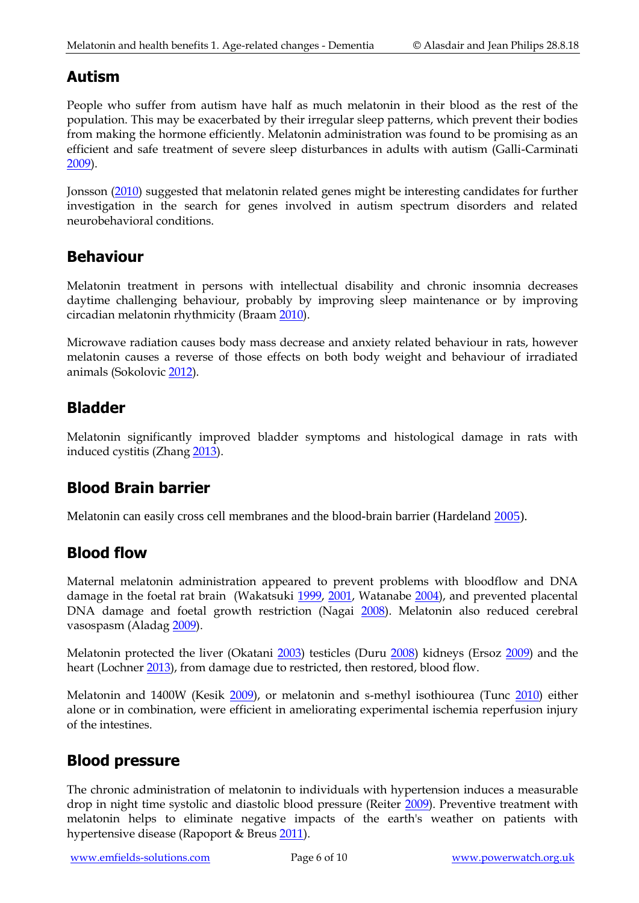## **Autism**

People who suffer from autism have half as much melatonin in their blood as the rest of the population. This may be exacerbated by their irregular sleep patterns, which prevent their bodies from making the hormone efficiently. Melatonin administration was found to be promising as an efficient and safe treatment of severe sleep disturbances in adults with autism (Galli-Carminati [2009\)](http://www.ncbi.nlm.nih.gov/pubmed/19452292).

Jonsson [\(2010\)](http://www.ncbi.nlm.nih.gov/pubmed/20377855) suggested that melatonin related genes might be interesting candidates for further investigation in the search for genes involved in autism spectrum disorders and related neurobehavioral conditions.

#### **Behaviour**

Melatonin treatment in persons with intellectual disability and chronic insomnia decreases daytime challenging behaviour, probably by improving sleep maintenance or by improving circadian melatonin rhythmicity (Braam [2010\)](http://www.ncbi.nlm.nih.gov/pubmed/19888921).

Microwave radiation causes body mass decrease and anxiety related behaviour in rats, however melatonin causes a reverse of those effects on both body weight and behaviour of irradiated animals (Sokolovic [2012\)](https://www.ncbi.nlm.nih.gov/pubmed/22616582).

#### **Bladder**

Melatonin significantly improved bladder symptoms and histological damage in rats with induced cystitis (Zhang [2013\)](http://www.ncbi.nlm.nih.gov/pubmed/23250825).

#### **Blood Brain barrier**

Melatonin can easily cross cell membranes and the blood-brain barrier (Hardeland [2005\)](http://www.ncbi.nlm.nih.gov/sites/entrez?cmd=Retrieve&db=pubmed&dopt=AbstractPlus&list_uids=16217125).

#### **Blood flow**

Maternal melatonin administration appeared to prevent problems with bloodflow and DNA damage in the foetal rat brain (Wakatsuki [1999,](http://www.ncbi.nlm.nih.gov/pubmed/10231727?ordinalpos=68&itool=EntrezSystem2.PEntrez.Pubmed.Pubmed_ResultsPanel.Pubmed_RVDocSum) [2001,](http://www.ncbi.nlm.nih.gov/pubmed/11555173?ordinalpos=39&itool=EntrezSystem2.PEntrez.Pubmed.Pubmed_ResultsPanel.Pubmed_RVDocSum) Watanabe [2004\)](http://www.ncbi.nlm.nih.gov/pubmed/15485554?ordinalpos=13&itool=EntrezSystem2.PEntrez.Pubmed.Pubmed_ResultsPanel.Pubmed_RVDocSum), and prevented placental DNA damage and foetal growth restriction (Nagai [2008\)](http://www.ncbi.nlm.nih.gov/pubmed/18373555?ordinalpos=3&itool=EntrezSystem2.PEntrez.Pubmed.Pubmed_ResultsPanel.Pubmed_RVDocSum). Melatonin also reduced cerebral vasospasm (Alada[g 2009\)](http://www.ncbi.nlm.nih.gov/pubmed/19415488).

Melatonin protected the liver (Okatani [2003\)](http://www.ncbi.nlm.nih.gov/pubmed/12782196?ordinalpos=21&itool=EntrezSystem2.PEntrez.Pubmed.Pubmed_ResultsPanel.Pubmed_RVDocSum) testicles (Duru [2008\)](http://www.ncbi.nlm.nih.gov/pubmed/19062479?ordinalpos=1&itool=EntrezSystem2.PEntrez.Pubmed.Pubmed_ResultsPanel.Pubmed_DefaultReportPanel.Pubmed_RVDocSum) kidneys (Ersoz [2009\)](http://www.ncbi.nlm.nih.gov/pubmed/19814638) and the heart (Lochne[r 2013\)](http://www.ncbi.nlm.nih.gov/pubmed/23276991), from damage due to restricted, then restored, blood flow.

Melatonin and 1400W (Kesik [2009\)](http://www.ncbi.nlm.nih.gov/pubmed/19394656), or melatonin and s-methyl isothiourea (Tunc [2010\)](http://www.ncbi.nlm.nih.gov/pubmed/20594145) either alone or in combination, were efficient in ameliorating experimental ischemia reperfusion injury of the intestines.

#### **Blood pressure**

The chronic administration of melatonin to individuals with hypertension induces a measurable drop in night time systolic and diastolic blood pressure (Reiter [2009\)](http://www.ncbi.nlm.nih.gov/pubmed/19633446). Preventive treatment with melatonin helps to eliminate negative impacts of the earth's weather on patients with hypertensive disease (Rapoport & Breus [2011\)](http://www.ncbi.nlm.nih.gov/pubmed/21932552).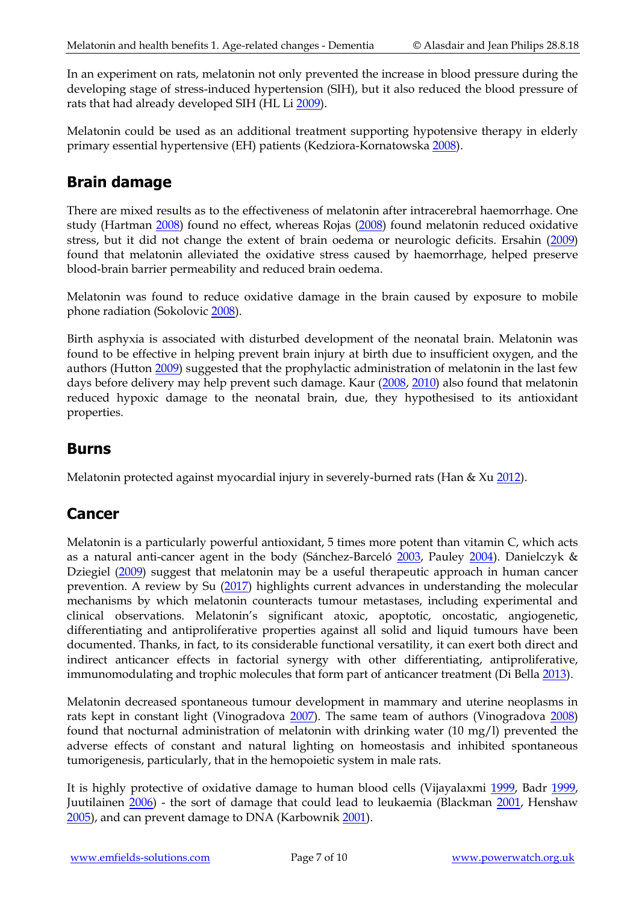In an experiment on rats, melatonin not only prevented the increase in blood pressure during the developing stage of stress-induced hypertension (SIH), but it also reduced the blood pressure of rats that had already developed SIH (HL Li [2009\)](http://www.ncbi.nlm.nih.gov/pubmed/19018803).

Melatonin could be used as an additional treatment supporting hypotensive therapy in elderly primary essential hypertensive (EH) patients (Kedziora-Kornatowska [2008\)](http://www.ncbi.nlm.nih.gov/pubmed/18363674).

#### **Brain damage**

There are mixed results as to the effectiveness of melatonin after intracerebral haemorrhage. One study (Hartman [2008\)](http://www.ncbi.nlm.nih.gov/pubmed/19066091?ordinalpos=2&itool=EntrezSystem2.PEntrez.Pubmed.Pubmed_ResultsPanel.Pubmed_DefaultReportPanel.Pubmed_RVDocSum) found no effect, whereas Rojas [\(2008\)](http://www.ncbi.nlm.nih.gov/pubmed/19066075?ordinalpos=4&itool=EntrezSystem2.PEntrez.Pubmed.Pubmed_ResultsPanel.Pubmed_DefaultReportPanel.Pubmed_RVDocSum) found melatonin reduced oxidative stress, but it did not change the extent of brain oedema or neurologic deficits. Ersahin [\(2009\)](http://www.ncbi.nlm.nih.gov/pubmed/19215574) found that melatonin alleviated the oxidative stress caused by haemorrhage, helped preserve blood-brain barrier permeability and reduced brain oedema.

Melatonin was found to reduce oxidative damage in the brain caused by exposure to mobile phone radiation (Sokolovic [2008\)](http://www.ncbi.nlm.nih.gov/pubmed/18827438?ordinalpos=2&itool=EntrezSystem2.PEntrez.Pubmed.Pubmed_ResultsPanel.Pubmed_DefaultReportPanel.Pubmed_RVDocSum).

Birth asphyxia is associated with disturbed development of the neonatal brain. Melatonin was found to be effective in helping prevent brain injury at birth due to insufficient oxygen, and the authors (Hutton [2009\)](http://www.ncbi.nlm.nih.gov/pubmed/19684403) suggested that the prophylactic administration of melatonin in the last few days before delivery may help prevent such damage. Kaur [\(2008,](http://www.ncbi.nlm.nih.gov/pubmed/18422758) [2010\)](http://www.ncbi.nlm.nih.gov/pubmed/20136703) also found that melatonin reduced hypoxic damage to the neonatal brain, due, they hypothesised to its antioxidant properties.

#### **Burns**

Melatonin protected against myocardial injury in severely-burned rats (Han & X[u 2012\)](http://www.ncbi.nlm.nih.gov/pubmed/23168205).

#### **Cancer**

Melatonin is a particularly powerful antioxidant, 5 times more potent than vitamin C, which acts as a natural anti-cancer agent in the body (Sánchez-Barceló [2003,](http://www.ncbi.nlm.nih.gov/sites/entrez?Db=pubmed&Cmd=ShowDetailView&TermToSearch=12790777&ordinalpos=10&itool=EntrezSystem2.PEntrez.Pubmed.Pubmed_ResultsPanel.Pubmed_RVDocSum) Pauley [2004\)](http://www.ncbi.nlm.nih.gov/sites/entrez?cmd=Retrieve&db=pubmed&dopt=AbstractPlus&list_uids=15325001). Danielczyk & Dziegiel [\(2009\)](http://www.ncbi.nlm.nih.gov/pubmed/19837985) suggest that melatonin may be a useful therapeutic approach in human cancer prevention. A review by Su [\(2017\)](https://www.ncbi.nlm.nih.gov/pubmed/27706852) highlights current advances in understanding the molecular mechanisms by which melatonin counteracts tumour metastases, including experimental and clinical observations. Melatonin's significant atoxic, apoptotic, oncostatic, angiogenetic, differentiating and antiproliferative properties against all solid and liquid tumours have been documented. Thanks, in fact, to its considerable functional versatility, it can exert both direct and indirect anticancer effects in factorial synergy with other differentiating, antiproliferative, immunomodulating and trophic molecules that form part of anticancer treatment (Di Bell[a 2013\)](https://www.ncbi.nlm.nih.gov/pubmed/23348932).

Melatonin decreased spontaneous tumour development in mammary and uterine neoplasms in rats kept in constant light (Vinogradova [2007\)](http://www.ncbi.nlm.nih.gov/pubmed/18383709). The same team of authors (Vinogradova [2008\)](http://www.ncbi.nlm.nih.gov/pubmed/18416062) found that nocturnal administration of melatonin with drinking water (10 mg/l) prevented the adverse effects of constant and natural lighting on homeostasis and inhibited spontaneous tumorigenesis, particularly, that in the hemopoietic system in male rats.

It is highly protective of oxidative damage to human blood cells (Vijayalaxmi [1999,](http://www.ncbi.nlm.nih.gov/entrez/query.fcgi?db=pubmed&cmd=Retrieve&dopt=AbstractPlus&list_uids=10082913&query_hl=39&itool=pubmed_docsum) Badr [1999,](http://www.ncbi.nlm.nih.gov/entrez/query.fcgi?db=pubmed&cmd=Retrieve&dopt=AbstractPlus&list_uids=10521676&query_hl=45&itool=pubmed_docsum) Juutilainen [2006\)](http://www.ncbi.nlm.nih.gov/sites/entrez?Db=pubmed&Cmd=ShowDetailView&TermToSearch=16622861&ordinalpos=1&itool=EntrezSystem2.PEntrez.Pubmed.Pubmed_ResultsPanel.Pubmed_RVDocSum) - the sort of damage that could lead to leukaemia (Blackman [2001,](http://www.ncbi.nlm.nih.gov/entrez/query.fcgi?db=pubmed&cmd=Retrieve&dopt=AbstractPlus&list_uids=11180258&query_hl=78&itool=pubmed_docsum) Henshaw [2005\)](http://www.powerwatch.org.uk/subscriber/articles/_For%20checking/pooled%20analysis%20of%20magnetic%20fields%20and%20childhood%20leukaemi), and can prevent damage to DNA (Karbownik [2001\)](http://www.ncbi.nlm.nih.gov/sites/entrez?cmd=Retrieve&db=pubmed&dopt=AbstractPlus&list_uids=11239965).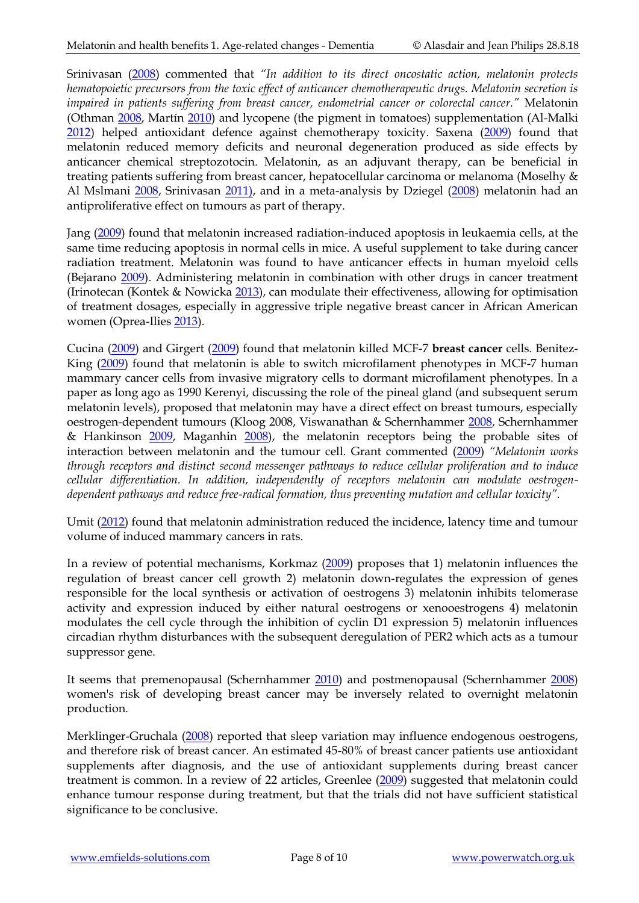Srinivasan [\(2008\)](http://www.ncbi.nlm.nih.gov/pubmed/18815150) commented that *"In addition to its direct oncostatic action, melatonin protects hematopoietic precursors from the toxic effect of anticancer chemotherapeutic drugs. Melatonin secretion is impaired in patients suffering from breast cancer, endometrial cancer or colorectal cancer."* Melatonin (Othman [2008,](http://www.ncbi.nlm.nih.gov/pubmed/18793653) Martín [2010\)](http://www.ncbi.nlm.nih.gov/pubmed/19632770) and lycopene (the pigment in tomatoes) supplementation (Al-Malki [2012\)](http://www.ncbi.nlm.nih.gov/pubmed/23024110) helped antioxidant defence against chemotherapy toxicity. Saxena [\(2009\)](http://www.ncbi.nlm.nih.gov/pubmed/19808044) found that melatonin reduced memory deficits and neuronal degeneration produced as side effects by anticancer chemical streptozotocin. Melatonin, as an adjuvant therapy, can be beneficial in treating patients suffering from breast cancer, hepatocellular carcinoma or melanoma (Moselhy & Al Mslmani [2008,](http://www.ncbi.nlm.nih.gov/pubmed/18682897) Srinivasan [2011\),](http://www.ncbi.nlm.nih.gov/pubmed/22074586) and in a meta-analysis by Dziegel [\(2008\)](http://www.ncbi.nlm.nih.gov/pubmed/18443563) melatonin had an antiproliferative effect on tumours as part of therapy.

Jang [\(2009\)](http://www.ncbi.nlm.nih.gov/pubmed/19555448) found that melatonin increased radiation-induced apoptosis in leukaemia cells, at the same time reducing apoptosis in normal cells in mice. A useful supplement to take during cancer radiation treatment. Melatonin was found to have anticancer effects in human myeloid cells (Bejarano [2009\)](http://www.ncbi.nlm.nih.gov/pubmed/19552762). Administering melatonin in combination with other drugs in cancer treatment (Irinotecan (Kontek & Nowicka [2013\)](http://www.ncbi.nlm.nih.gov/pubmed/23126525), can modulate their effectiveness, allowing for optimisation of treatment dosages, especially in aggressive triple negative breast cancer in African American women (Oprea-Ilies [2013\)](http://www.ncbi.nlm.nih.gov/pubmed/23250547).

Cucina [\(2009\)](http://www.ncbi.nlm.nih.gov/pubmed/19175854) and Girgert [\(2009\)](http://www.ncbi.nlm.nih.gov/pubmed/19522736) found that melatonin killed MCF-7 **breast cancer** cells. Benitez-King [\(2009\)](http://www.ncbi.nlm.nih.gov/pubmed/19337976) found that melatonin is able to switch microfilament phenotypes in MCF-7 human mammary cancer cells from invasive migratory cells to dormant microfilament phenotypes. In a paper as long ago as 1990 Kerenyi, discussing the role of the pineal gland (and subsequent serum melatonin levels), proposed that melatonin may have a direct effect on breast tumours, especially oestrogen-dependent tumours (Kloog 2008, Viswanathan & Schernhammer [2008,](http://www.ncbi.nlm.nih.gov/pubmed/19070424) Schernhammer & Hankinson [2009,](http://www.ncbi.nlm.nih.gov/pubmed/19124483) Maganhin [2008\)](http://www.ncbi.nlm.nih.gov/pubmed/18604407?ordinalpos=1&itool=EntrezSystem2.PEntrez.Pubmed.Pubmed_ResultsPanel.Pubmed_RVDocSum), the melatonin receptors being the probable sites of interaction between melatonin and the tumour cell. Grant commented [\(2009\)](http://www.ncbi.nlm.nih.gov/pubmed/19193248) *"Melatonin works through receptors and distinct second messenger pathways to reduce cellular proliferation and to induce cellular differentiation. In addition, independently of receptors melatonin can modulate oestrogendependent pathways and reduce free-radical formation, thus preventing mutation and cellular toxicity".* 

Umit [\(2012\)](http://www.ncbi.nlm.nih.gov/pubmed/23215791) found that melatonin administration reduced the incidence, latency time and tumour volume of induced mammary cancers in rats.

In a review of potential mechanisms, Korkmaz [\(2009\)](http://www.ncbi.nlm.nih.gov/pubmed?term=18592373) proposes that 1) melatonin influences the regulation of breast cancer cell growth 2) melatonin down-regulates the expression of genes responsible for the local synthesis or activation of oestrogens 3) melatonin inhibits telomerase activity and expression induced by either natural oestrogens or xenooestrogens 4) melatonin modulates the cell cycle through the inhibition of cyclin D1 expression 5) melatonin influences circadian rhythm disturbances with the subsequent deregulation of PER2 which acts as a tumour suppressor gene.

It seems that premenopausal (Schernhammer [2010\)](http://www.ncbi.nlm.nih.gov/pubmed/20200429) and postmenopausal (Schernhammer [2008\)](http://www.ncbi.nlm.nih.gov/pubmed/18544743) women's risk of developing breast cancer may be inversely related to overnight melatonin production.

Merklinger-Gruchala [\(2008\)](http://www.ncbi.nlm.nih.gov/pubmed/18714190?ordinalpos=1&itool=EntrezSystem2.PEntrez.Pubmed.Pubmed_ResultsPanel.Pubmed_DefaultReportPanel.Pubmed_RVDocSum) reported that sleep variation may influence endogenous oestrogens, and therefore risk of breast cancer. An estimated 45-80% of breast cancer patients use antioxidant supplements after diagnosis, and the use of antioxidant supplements during breast cancer treatment is common. In a review of 22 articles, Greenlee [\(2009\)](http://www.ncbi.nlm.nih.gov/pubmed/18839308) suggested that melatonin could enhance tumour response during treatment, but that the trials did not have sufficient statistical significance to be conclusive.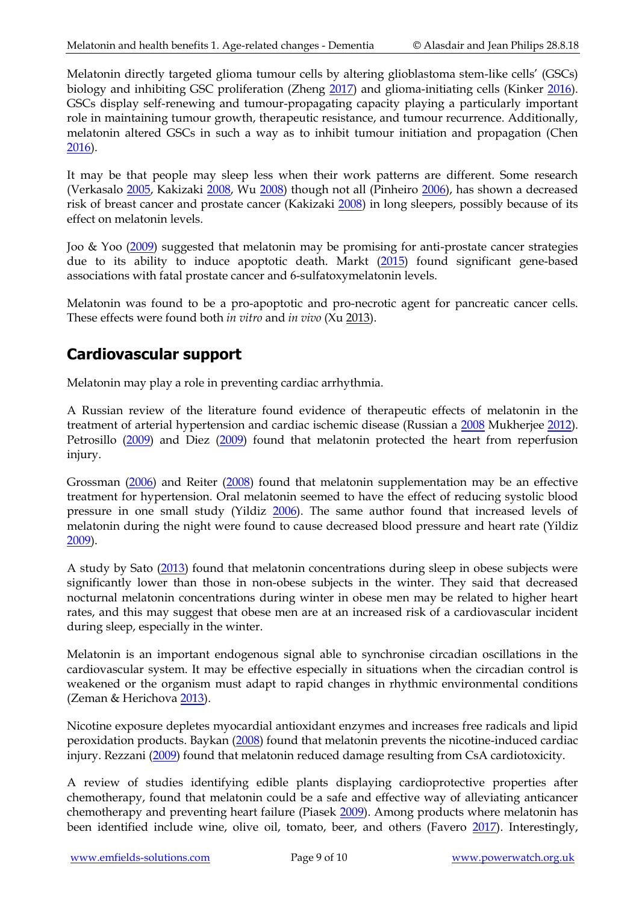Melatonin directly targeted glioma tumour cells by altering glioblastoma stem-like cells' (GSCs) biology and inhibiting GSC proliferation (Zheng [2017\)](https://www.ncbi.nlm.nih.gov/pubmed/28255276) and glioma-initiating cells (Kinker [2016\)](https://www.ncbi.nlm.nih.gov/pubmed/26510398). GSCs display self-renewing and tumour-propagating capacity playing a particularly important role in maintaining tumour growth, therapeutic resistance, and tumour recurrence. Additionally, melatonin altered GSCs in such a way as to inhibit tumour initiation and propagation (Chen [2016\)](https://www.ncbi.nlm.nih.gov/pubmed/27121240).

It may be that people may sleep less when their work patterns are different. Some research (Verkasalo [2005,](http://www.ncbi.nlm.nih.gov/sites/entrez?Db=pubmed&Cmd=ShowDetailView&TermToSearch=16230426&ordinalpos=1&itool=EntrezSystem2.PEntrez.Pubmed.Pubmed_ResultsPanel.Pubmed_RVDocSum) Kakizaki [2008,](http://www.ncbi.nlm.nih.gov/pubmed/18813313) Wu [2008\)](http://www.ncbi.nlm.nih.gov/pubmed/18448486) though not all (Pinheiro [2006\)](http://www.ncbi.nlm.nih.gov/pubmed/16707482), has shown a decreased risk of breast cancer and prostate cancer (Kakizaki [2008\)](http://www.ncbi.nlm.nih.gov/pubmed/18542076) in long sleepers, possibly because of its effect on melatonin levels.

Joo & Yoo [\(2009\)](http://www.ncbi.nlm.nih.gov/pubmed/19522739) suggested that melatonin may be promising for anti-prostate cancer strategies due to its ability to induce apoptotic death. Markt [\(2015\)](http://www.ncbi.nlm.nih.gov/pubmed/25388799) found significant gene-based associations with fatal prostate cancer and 6-sulfatoxymelatonin levels.

Melatonin was found to be a pro-apoptotic and pro-necrotic agent for pancreatic cancer cells. These effects were found both *in vitro* and *in vivo* (Xu [2013\)](http://www.ncbi.nlm.nih.gov/pubmed/23245210).

## **Cardiovascular support**

Melatonin may play a role in preventing cardiac arrhythmia.

A Russian review of the literature found evidence of therapeutic effects of melatonin in the treatment of arterial hypertension and cardiac ischemic disease (Russian a [2008](http://www.ncbi.nlm.nih.gov/pubmed/18652262?ordinalpos=1&itool=EntrezSystem2.PEntrez.Pubmed.Pubmed_ResultsPanel.Pubmed_RVDocSum) Mukherjee [2012\)](http://www.ncbi.nlm.nih.gov/pubmed/23050266). Petrosillo [\(2009\)](http://www.ncbi.nlm.nih.gov/pubmed/19684190) and Diez [\(2009\)](http://www.ncbi.nlm.nih.gov/pubmed/19175855) found that melatonin protected the heart from reperfusion injury.

Grossman [\(2006\)](http://www.ncbi.nlm.nih.gov/sites/entrez?Db=pubmed&Cmd=ShowDetailView&TermToSearch=17000226&ordinalpos=16&itool=EntrezSystem2.PEntrez.Pubmed.Pubmed_ResultsPanel.Pubmed_RVDocSum) and Reiter [\(2008\)](http://www.ncbi.nlm.nih.gov/pubmed/18997997?ordinalpos=2&itool=EntrezSystem2.PEntrez.Pubmed.Pubmed_ResultsPanel.Pubmed_DefaultReportPanel.Pubmed_RVDocSum) found that melatonin supplementation may be an effective treatment for hypertension. Oral melatonin seemed to have the effect of reducing systolic blood pressure in one small study (Yildiz [2006\)](http://www.ncbi.nlm.nih.gov/pubmed/18651024?ordinalpos=1&itool=EntrezSystem2.PEntrez.Pubmed.Pubmed_ResultsPanel.Pubmed_RVDocSum). The same author found that increased levels of melatonin during the night were found to cause decreased blood pressure and heart rate (Yildiz [2009\)](http://www.ncbi.nlm.nih.gov/pubmed/19267945).

A study by Sato [\(2013\)](http://www.ncbi.nlm.nih.gov/pubmed/23111917) found that melatonin concentrations during sleep in obese subjects were significantly lower than those in non-obese subjects in the winter. They said that decreased nocturnal melatonin concentrations during winter in obese men may be related to higher heart rates, and this may suggest that obese men are at an increased risk of a cardiovascular incident during sleep, especially in the winter.

Melatonin is an important endogenous signal able to synchronise circadian oscillations in the cardiovascular system. It may be effective especially in situations when the circadian control is weakened or the organism must adapt to rapid changes in rhythmic environmental conditions (Zeman & Herichova [2013\)](http://www.ncbi.nlm.nih.gov/pubmed/23277083).

Nicotine exposure depletes myocardial antioxidant enzymes and increases free radicals and lipid peroxidation products. Baykan [\(2008\)](http://www.ncbi.nlm.nih.gov/pubmed/18676298?ordinalpos=3&itool=EntrezSystem2.PEntrez.Pubmed.Pubmed_ResultsPanel.Pubmed_DefaultReportPanel.Pubmed_RVDocSum) found that melatonin prevents the nicotine-induced cardiac injury. Rezzani [\(2009\)](http://www.ncbi.nlm.nih.gov/pubmed/19196438) found that melatonin reduced damage resulting from CsA cardiotoxicity.

A review of studies identifying edible plants displaying cardioprotective properties after chemotherapy, found that melatonin could be a safe and effective way of alleviating anticancer chemotherapy and preventing heart failure (Piasek [2009\)](http://www.ncbi.nlm.nih.gov/pubmed/19502676). Among products where melatonin has been identified include wine, olive oil, tomato, beer, and others (Favero [2017\)](https://www.ncbi.nlm.nih.gov/pubmed/27884595). Interestingly,